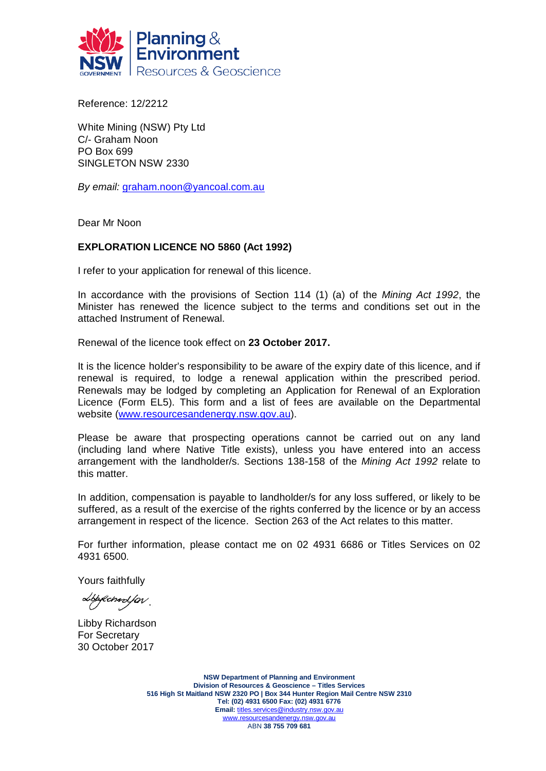

Reference: 12/2212

White Mining (NSW) Pty Ltd C/- Graham Noon PO Box 699 SINGLETON NSW 2330

*By email:* [graham.noon@yancoal.com.au](mailto:graham.noon@yancoal.com.au)

Dear Mr Noon

#### **EXPLORATION LICENCE NO 5860 (Act 1992)**

I refer to your application for renewal of this licence.

In accordance with the provisions of Section 114 (1) (a) of the *Mining Act 1992*, the Minister has renewed the licence subject to the terms and conditions set out in the attached Instrument of Renewal.

Renewal of the licence took effect on **23 October 2017.**

It is the licence holder's responsibility to be aware of the expiry date of this licence, and if renewal is required, to lodge a renewal application within the prescribed period. Renewals may be lodged by completing an Application for Renewal of an Exploration Licence (Form EL5). This form and a list of fees are available on the Departmental website [\(www.resourcesandenergy.nsw.gov.au\)](http://www.resourcesandenergy.nsw.gov.au/).

Please be aware that prospecting operations cannot be carried out on any land (including land where Native Title exists), unless you have entered into an access arrangement with the landholder/s. Sections 138-158 of the *Mining Act 1992* relate to this matter.

In addition, compensation is payable to landholder/s for any loss suffered, or likely to be suffered, as a result of the exercise of the rights conferred by the licence or by an access arrangement in respect of the licence. Section 263 of the Act relates to this matter.

For further information, please contact me on 02 4931 6686 or Titles Services on 02 4931 6500.

Yours faithfully

Lbpfchard.for

Libby Richardson For Secretary 30 October 2017

**NSW Department of Planning and Environment Division of Resources & Geoscience – Titles Services 516 High St Maitland NSW 2320 PO | Box 344 Hunter Region Mail Centre NSW 2310 Tel: (02) 4931 6500 Fax: (02) 4931 6776 Email:** [titles.services@industry.nsw.gov.au](mailto:titles.services@industry.nsw.gov.au) [www.resourcesandenergy.nsw.gov.au](http://www.resourcesandenergy.nsw.gov.au/) ABN **38 755 709 681**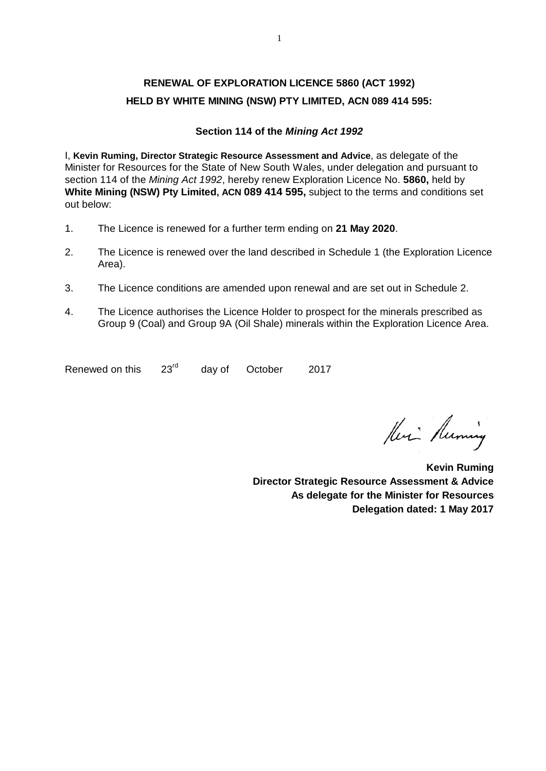# **RENEWAL OF EXPLORATION LICENCE 5860 (ACT 1992) HELD BY WHITE MINING (NSW) PTY LIMITED, ACN 089 414 595:**

#### **Section 114 of the** *Mining Act 1992*

I, **Kevin Ruming, Director Strategic Resource Assessment and Advice**, as delegate of the Minister for Resources for the State of New South Wales, under delegation and pursuant to section 114 of the *Mining Act 1992*, hereby renew Exploration Licence No. **5860,** held by **White Mining (NSW) Pty Limited, ACN 089 414 595,** subject to the terms and conditions set out below:

- 1. The Licence is renewed for a further term ending on **21 May 2020**.
- 2. The Licence is renewed over the land described in Schedule 1 (the Exploration Licence Area).
- 3. The Licence conditions are amended upon renewal and are set out in Schedule 2.
- 4. The Licence authorises the Licence Holder to prospect for the minerals prescribed as Group 9 (Coal) and Group 9A (Oil Shale) minerals within the Exploration Licence Area.

Renewed on this  $23^{\text{rd}}$  day of October 2017

Heri Running

**Kevin Ruming Director Strategic Resource Assessment & Advice As delegate for the Minister for Resources Delegation dated: 1 May 2017**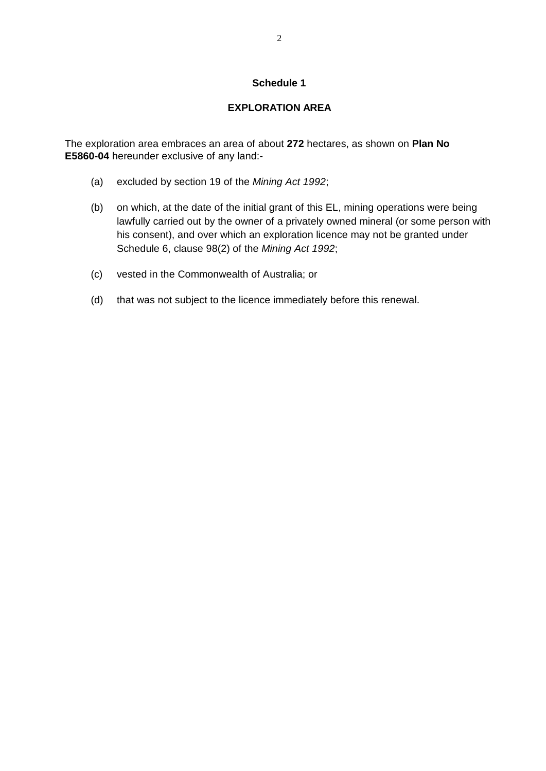#### **Schedule 1**

## **EXPLORATION AREA**

The exploration area embraces an area of about **272** hectares, as shown on **Plan No E5860-04** hereunder exclusive of any land:-

- (a) excluded by section 19 of the *Mining Act 1992*;
- (b) on which, at the date of the initial grant of this EL, mining operations were being lawfully carried out by the owner of a privately owned mineral (or some person with his consent), and over which an exploration licence may not be granted under Schedule 6, clause 98(2) of the *Mining Act 1992*;
- (c) vested in the Commonwealth of Australia; or
- (d) that was not subject to the licence immediately before this renewal.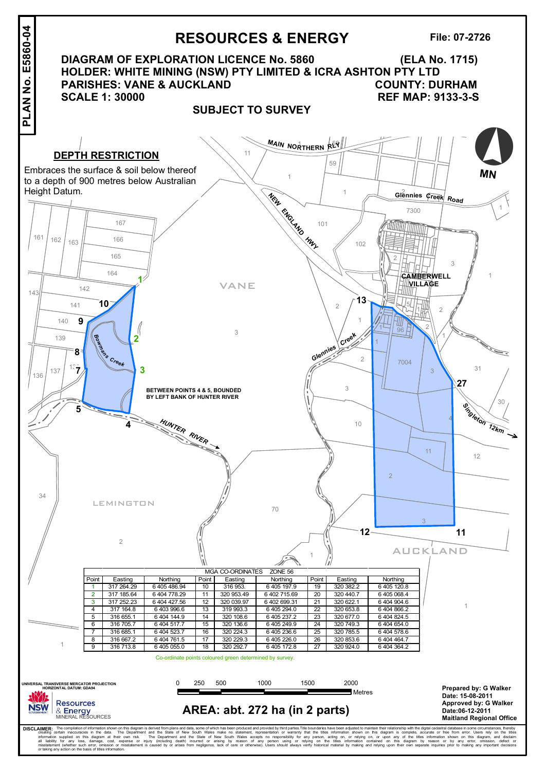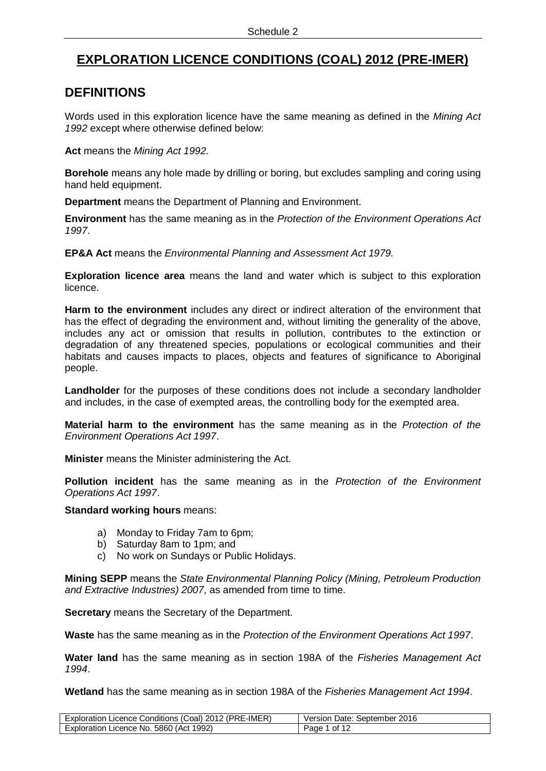# **EXPLORATION LICENCE CONDITIONS (COAL) 2012 (PRE-IMER)**

# **DEFINITIONS**

Words used in this exploration licence have the same meaning as defined in the *Mining Act 1992* except where otherwise defined below:

**Act** means the *Mining Act 1992.*

**Borehole** means any hole made by drilling or boring, but excludes sampling and coring using hand held equipment.

**Department** means the Department of Planning and Environment.

**Environment** has the same meaning as in the *Protection of the Environment Operations Act 1997*.

**EP&A Act** means the *Environmental Planning and Assessment Act 1979.*

**Exploration licence area** means the land and water which is subject to this exploration licence.

**Harm to the environment** includes any direct or indirect alteration of the environment that has the effect of degrading the environment and, without limiting the generality of the above, includes any act or omission that results in pollution, contributes to the extinction or degradation of any threatened species, populations or ecological communities and their habitats and causes impacts to places, objects and features of significance to Aboriginal people.

**Landholder** for the purposes of these conditions does not include a secondary landholder and includes, in the case of exempted areas, the controlling body for the exempted area.

**Material harm to the environment** has the same meaning as in the *Protection of the Environment Operations Act 1997*.

**Minister** means the Minister administering the Act.

**Pollution incident** has the same meaning as in the *Protection of the Environment Operations Act 1997*.

#### **Standard working hours** means:

- a) Monday to Friday 7am to 6pm;
- b) Saturday 8am to 1pm; and
- c) No work on Sundays or Public Holidays.

**Mining SEPP** means the *State Environmental Planning Policy (Mining, Petroleum Production and Extractive Industries) 2007*, as amended from time to time.

**Secretary** means the Secretary of the Department.

**Waste** has the same meaning as in the *Protection of the Environment Operations Act 1997*.

**Water land** has the same meaning as in section 198A of the *Fisheries Management Act 1994*.

**Wetland** has the same meaning as in section 198A of the *Fisheries Management Act 1994*.

| Exploration Licence Conditions (Coal) 2012 (PRE-IMER) | Version Date: September 2016  |
|-------------------------------------------------------|-------------------------------|
| <b>Exploration Licence No.</b>                        | $\overline{1}$ of 1 $\degree$ |
| . 5860 (Act 1992)                                     | Page <sup>1</sup>             |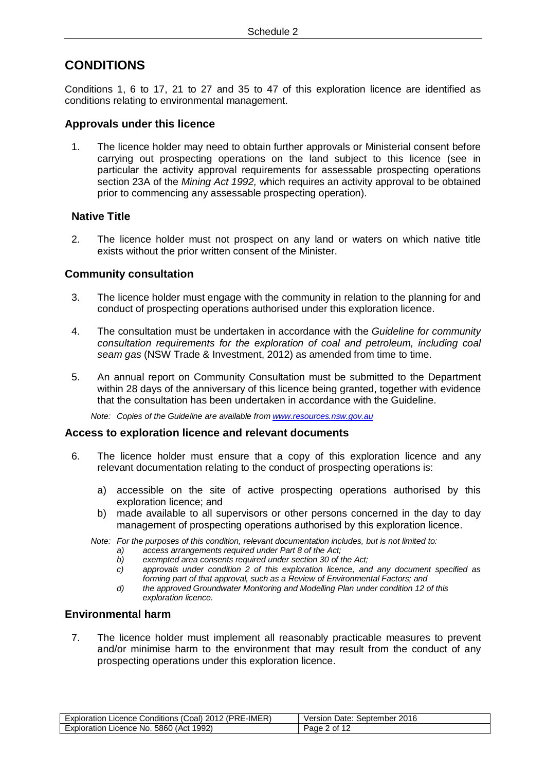# **CONDITIONS**

Conditions 1, 6 to [17,](#page-7-0) [21](#page-8-0) to 27 and 35 to 47 of this exploration licence are identified as conditions relating to environmental management.

### **Approvals under this licence**

1. The licence holder may need to obtain further approvals or Ministerial consent before carrying out prospecting operations on the land subject to this licence (see in particular the activity approval requirements for assessable prospecting operations section 23A of the *Mining Act 1992,* which requires an activity approval to be obtained prior to commencing any assessable prospecting operation).

## **Native Title**

2. The licence holder must not prospect on any land or waters on which native title exists without the prior written consent of the Minister.

### **Community consultation**

- 3. The licence holder must engage with the community in relation to the planning for and conduct of prospecting operations authorised under this exploration licence.
- 4. The consultation must be undertaken in accordance with the *Guideline for community consultation requirements for the exploration of coal and petroleum, including coal seam gas* (NSW Trade & Investment, 2012) as amended from time to time.
- 5. An annual report on Community Consultation must be submitted to the Department within 28 days of the anniversary of this licence being granted, together with evidence that the consultation has been undertaken in accordance with the Guideline.

*Note: Copies of the Guideline are available fro[m www.resources.nsw.gov.au](http://www.resources.nsw.gov.au/)*

#### **Access to exploration licence and relevant documents**

- 6. The licence holder must ensure that a copy of this exploration licence and any relevant documentation relating to the conduct of prospecting operations is:
	- a) accessible on the site of active prospecting operations authorised by this exploration licence; and
	- b) made available to all supervisors or other persons concerned in the day to day management of prospecting operations authorised by this exploration licence.
	- *Note: For the purposes of this condition, relevant documentation includes, but is not limited to:*
		- *a) access arrangements required under Part 8 of the Act;*
		- *b) exempted area consents required under section 30 of the Act;*
		- *c) approvals under condition 2 of this exploration licence, and any document specified as forming part of that approval, such as a Review of Environmental Factors; and*
		- *d) the approved Groundwater Monitoring and Modelling Plan under condition [12](#page-6-0) of this exploration licence.*

#### **Environmental harm**

7. The licence holder must implement all reasonably practicable measures to prevent and/or minimise harm to the environment that may result from the conduct of any prospecting operations under this exploration licence.

| Exploration Licence Conditions (Coal) 2012 (PRE-IMER) | Version Date: September 2016 |
|-------------------------------------------------------|------------------------------|
| Exploration Licence No. 5860 (Act 1992)               | Page 2 of 12                 |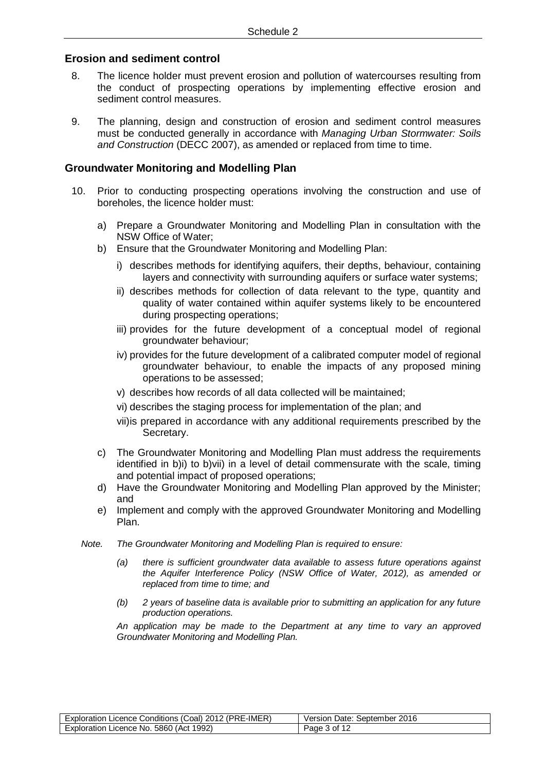#### **Erosion and sediment control**

- 8. The licence holder must prevent erosion and pollution of watercourses resulting from the conduct of prospecting operations by implementing effective erosion and sediment control measures.
- 9. The planning, design and construction of erosion and sediment control measures must be conducted generally in accordance with *Managing Urban Stormwater: Soils and Construction* (DECC 2007), as amended or replaced from time to time.

### **Groundwater Monitoring and Modelling Plan**

- <span id="page-6-1"></span><span id="page-6-0"></span>10. Prior to conducting prospecting operations involving the construction and use of boreholes, the licence holder must:
	- a) Prepare a Groundwater Monitoring and Modelling Plan in consultation with the NSW Office of Water;
	- b) Ensure that the Groundwater Monitoring and Modelling Plan:
		- i) describes methods for identifying aquifers, their depths, behaviour, containing layers and connectivity with surrounding aquifers or surface water systems;
		- ii) describes methods for collection of data relevant to the type, quantity and quality of water contained within aquifer systems likely to be encountered during prospecting operations;
		- iii) provides for the future development of a conceptual model of regional groundwater behaviour;
		- iv) provides for the future development of a calibrated computer model of regional groundwater behaviour, to enable the impacts of any proposed mining operations to be assessed;
		- v) describes how records of all data collected will be maintained;
		- vi) describes the staging process for implementation of the plan; and
		- vii)is prepared in accordance with any additional requirements prescribed by the Secretary.
	- c) The Groundwater Monitoring and Modelling Plan must address the requirements identified in [b\)i\)](#page-6-1) to [b\)vii\)](#page-6-2) in a level of detail commensurate with the scale, timing and potential impact of proposed operations;
	- d) Have the Groundwater Monitoring and Modelling Plan approved by the Minister; and
	- e) Implement and comply with the approved Groundwater Monitoring and Modelling Plan.
	- *Note. The Groundwater Monitoring and Modelling Plan is required to ensure:*
		- *(a) there is sufficient groundwater data available to assess future operations against the Aquifer Interference Policy (NSW Office of Water, 2012), as amended or replaced from time to time; and*
		- *(b) 2 years of baseline data is available prior to submitting an application for any future production operations.*

<span id="page-6-2"></span>*An application may be made to the Department at any time to vary an approved Groundwater Monitoring and Modelling Plan.*

| (PRE-IMER)<br>2012<br>Exploration '<br>Licence Conditions (C)<br>ا coal | September 2016<br>Date:<br>Version |
|-------------------------------------------------------------------------|------------------------------------|
| 1992)<br>5860 (<br>'Act<br>Licence<br>Exploration<br>NO.                | Paαe                               |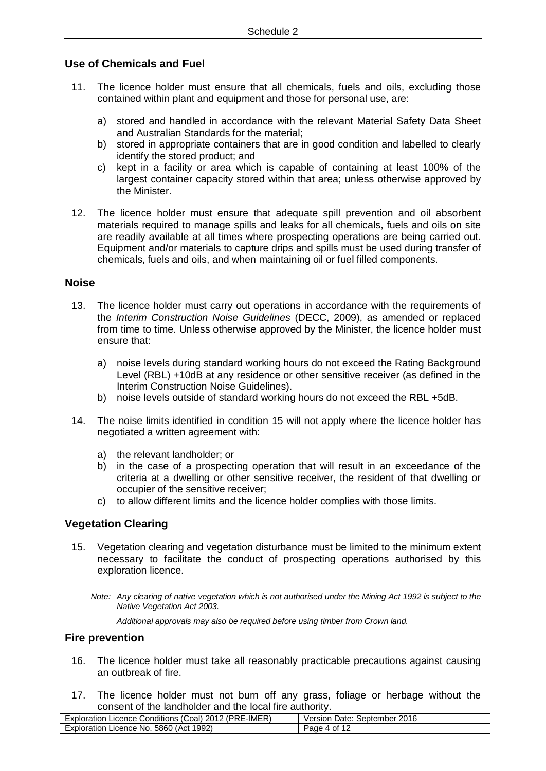## **Use of Chemicals and Fuel**

- 11. The licence holder must ensure that all chemicals, fuels and oils, excluding those contained within plant and equipment and those for personal use, are:
	- a) stored and handled in accordance with the relevant Material Safety Data Sheet and Australian Standards for the material;
	- b) stored in appropriate containers that are in good condition and labelled to clearly identify the stored product; and
	- c) kept in a facility or area which is capable of containing at least 100% of the largest container capacity stored within that area; unless otherwise approved by the Minister.
- 12. The licence holder must ensure that adequate spill prevention and oil absorbent materials required to manage spills and leaks for all chemicals, fuels and oils on site are readily available at all times where prospecting operations are being carried out. Equipment and/or materials to capture drips and spills must be used during transfer of chemicals, fuels and oils, and when maintaining oil or fuel filled components.

#### **Noise**

- <span id="page-7-1"></span>13. The licence holder must carry out operations in accordance with the requirements of the *Interim Construction Noise Guidelines* (DECC, 2009), as amended or replaced from time to time. Unless otherwise approved by the Minister, the licence holder must ensure that:
	- a) noise levels during standard working hours do not exceed the Rating Background Level (RBL) +10dB at any residence or other sensitive receiver (as defined in the Interim Construction Noise Guidelines).
	- b) noise levels outside of standard working hours do not exceed the RBL +5dB.
- 14. The noise limits identified in condition [15](#page-7-1) will not apply where the licence holder has negotiated a written agreement with:
	- a) the relevant landholder; or
	- b) in the case of a prospecting operation that will result in an exceedance of the criteria at a dwelling or other sensitive receiver, the resident of that dwelling or occupier of the sensitive receiver;
	- c) to allow different limits and the licence holder complies with those limits.

## **Vegetation Clearing**

15. Vegetation clearing and vegetation disturbance must be limited to the minimum extent necessary to facilitate the conduct of prospecting operations authorised by this exploration licence.

*Note: Any clearing of native vegetation which is not authorised under the Mining Act 1992 is subject to the Native Vegetation Act 2003.*

*Additional approvals may also be required before using timber from Crown land.*

### **Fire prevention**

- 16. The licence holder must take all reasonably practicable precautions against causing an outbreak of fire.
- <span id="page-7-0"></span>17. The licence holder must not burn off any grass, foliage or herbage without the consent of the landholder and the local fire authority.

| Exploration Licence Conditions (Coal) 2012 (PRE-IMER) | Version Date: September 2016  |
|-------------------------------------------------------|-------------------------------|
| Exploration Licence No. 5860 (Act 1992)               | . 4 of 1 <sup>~</sup><br>Page |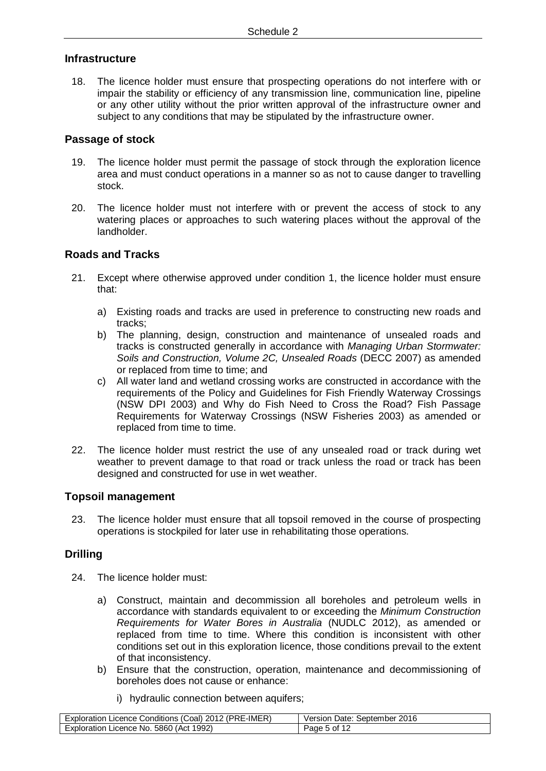## **Infrastructure**

18. The licence holder must ensure that prospecting operations do not interfere with or impair the stability or efficiency of any transmission line, communication line, pipeline or any other utility without the prior written approval of the infrastructure owner and subject to any conditions that may be stipulated by the infrastructure owner.

### **Passage of stock**

- 19. The licence holder must permit the passage of stock through the exploration licence area and must conduct operations in a manner so as not to cause danger to travelling stock.
- 20. The licence holder must not interfere with or prevent the access of stock to any watering places or approaches to such watering places without the approval of the landholder.

## **Roads and Tracks**

- <span id="page-8-0"></span>21. Except where otherwise approved under condition 1, the licence holder must ensure that:
	- a) Existing roads and tracks are used in preference to constructing new roads and tracks;
	- b) The planning, design, construction and maintenance of unsealed roads and tracks is constructed generally in accordance with *Managing Urban Stormwater: Soils and Construction, Volume 2C, Unsealed Roads* (DECC 2007) as amended or replaced from time to time; and
	- c) All water land and wetland crossing works are constructed in accordance with the requirements of the Policy and Guidelines for Fish Friendly Waterway Crossings (NSW DPI 2003) and Why do Fish Need to Cross the Road? Fish Passage Requirements for Waterway Crossings (NSW Fisheries 2003) as amended or replaced from time to time.
- 22. The licence holder must restrict the use of any unsealed road or track during wet weather to prevent damage to that road or track unless the road or track has been designed and constructed for use in wet weather.

## **Topsoil management**

23. The licence holder must ensure that all topsoil removed in the course of prospecting operations is stockpiled for later use in rehabilitating those operations.

## **Drilling**

- 24. The licence holder must:
	- a) Construct, maintain and decommission all boreholes and petroleum wells in accordance with standards equivalent to or exceeding the *Minimum Construction Requirements for Water Bores in Australia* (NUDLC 2012), as amended or replaced from time to time. Where this condition is inconsistent with other conditions set out in this exploration licence, those conditions prevail to the extent of that inconsistency.
	- b) Ensure that the construction, operation, maintenance and decommissioning of boreholes does not cause or enhance:
		- i) hydraulic connection between aquifers;

| า Licence Conditions (Coal) 2012 (PRE-IMER)<br>Exploration | September 2016<br>Date: '<br>Version |
|------------------------------------------------------------|--------------------------------------|
| . 5860 (Act 1992)                                          | of 1′                                |
| Exploration Licence No.                                    | Page 5                               |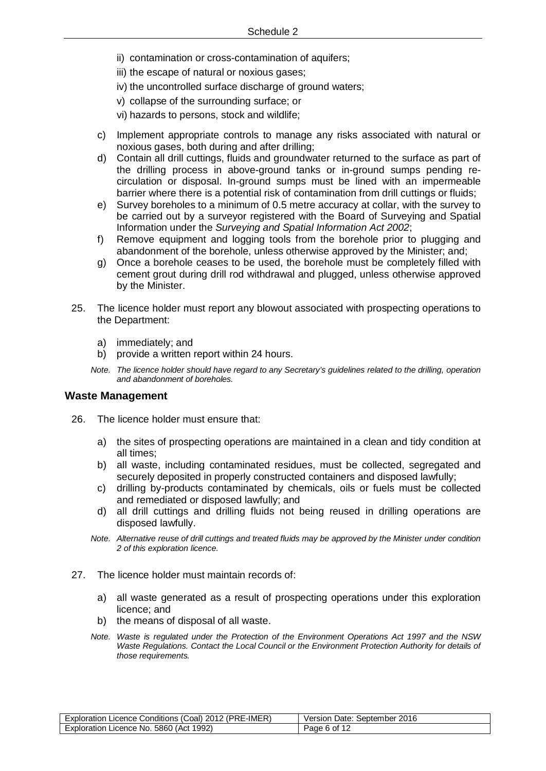- ii) contamination or cross-contamination of aquifers;
- iii) the escape of natural or noxious gases;
- iv) the uncontrolled surface discharge of ground waters;
- v) collapse of the surrounding surface; or
- vi) hazards to persons, stock and wildlife;
- c) Implement appropriate controls to manage any risks associated with natural or noxious gases, both during and after drilling;
- d) Contain all drill cuttings, fluids and groundwater returned to the surface as part of the drilling process in above-ground tanks or in-ground sumps pending recirculation or disposal. In-ground sumps must be lined with an impermeable barrier where there is a potential risk of contamination from drill cuttings or fluids;
- e) Survey boreholes to a minimum of 0.5 metre accuracy at collar, with the survey to be carried out by a surveyor registered with the Board of Surveying and Spatial Information under the *Surveying and Spatial Information Act 2002*;
- f) Remove equipment and logging tools from the borehole prior to plugging and abandonment of the borehole, unless otherwise approved by the Minister; and;
- g) Once a borehole ceases to be used, the borehole must be completely filled with cement grout during drill rod withdrawal and plugged, unless otherwise approved by the Minister.
- 25. The licence holder must report any blowout associated with prospecting operations to the Department:
	- a) immediately; and
	- b) provide a written report within 24 hours.
	- *Note. The licence holder should have regard to any Secretary's guidelines related to the drilling, operation and abandonment of boreholes.*

#### **Waste Management**

- 26. The licence holder must ensure that:
	- a) the sites of prospecting operations are maintained in a clean and tidy condition at all times;
	- b) all waste, including contaminated residues, must be collected, segregated and securely deposited in properly constructed containers and disposed lawfully;
	- c) drilling by-products contaminated by chemicals, oils or fuels must be collected and remediated or disposed lawfully; and
	- d) all drill cuttings and drilling fluids not being reused in drilling operations are disposed lawfully.
	- *Note. Alternative reuse of drill cuttings and treated fluids may be approved by the Minister under condition 2 of this exploration licence.*
- 27. The licence holder must maintain records of:
	- a) all waste generated as a result of prospecting operations under this exploration licence; and
	- b) the means of disposal of all waste.
	- *Note. Waste is regulated under the Protection of the Environment Operations Act 1997 and the NSW Waste Regulations. Contact the Local Council or the Environment Protection Authority for details of those requirements.*

| .<br>"-IMER)<br>(PRE<br>2012<br>, Coal) ∶<br>Exploration<br>, Licence Conditions <sup>17</sup> | 2016<br>September<br>Version<br>Date: |
|------------------------------------------------------------------------------------------------|---------------------------------------|
| 1992)<br>5860<br>Act<br>Exploration<br>Licence<br>`NO.                                         | οt<br>Page                            |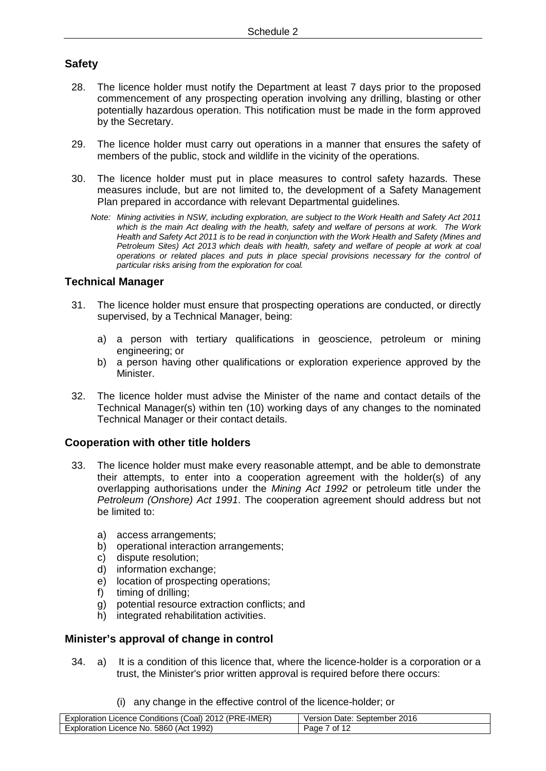## **Safety**

- 28. The licence holder must notify the Department at least 7 days prior to the proposed commencement of any prospecting operation involving any drilling, blasting or other potentially hazardous operation. This notification must be made in the form approved by the Secretary.
- 29. The licence holder must carry out operations in a manner that ensures the safety of members of the public, stock and wildlife in the vicinity of the operations.
- 30. The licence holder must put in place measures to control safety hazards. These measures include, but are not limited to, the development of a Safety Management Plan prepared in accordance with relevant Departmental guidelines.
	- *Note: Mining activities in NSW, including exploration, are subject to the Work Health and Safety Act 2011 which is the main Act dealing with the health, safety and welfare of persons at work. The Work Health and Safety Act 2011 is to be read in conjunction with the Work Health and Safety (Mines and Petroleum Sites) Act 2013 which deals with health, safety and welfare of people at work at coal operations or related places and puts in place special provisions necessary for the control of particular risks arising from the exploration for coal.*

## **Technical Manager**

- 31. The licence holder must ensure that prospecting operations are conducted, or directly supervised, by a Technical Manager, being:
	- a) a person with tertiary qualifications in geoscience, petroleum or mining engineering; or
	- b) a person having other qualifications or exploration experience approved by the Minister.
- 32. The licence holder must advise the Minister of the name and contact details of the Technical Manager(s) within ten (10) working days of any changes to the nominated Technical Manager or their contact details.

## **Cooperation with other title holders**

- 33. The licence holder must make every reasonable attempt, and be able to demonstrate their attempts, to enter into a cooperation agreement with the holder(s) of any overlapping authorisations under the *Mining Act 1992* or petroleum title under the *Petroleum (Onshore) Act 1991*. The cooperation agreement should address but not be limited to:
	- a) access arrangements;
	- b) operational interaction arrangements;
	- c) dispute resolution;
	- d) information exchange;
	- e) location of prospecting operations;
	- f) timing of drilling;
	- g) potential resource extraction conflicts; and
	- h) integrated rehabilitation activities.

#### **Minister's approval of change in control**

- 34. a) It is a condition of this licence that, where the licence-holder is a corporation or a trust, the Minister's prior written approval is required before there occurs:
	- (i) any change in the effective control of the licence-holder; or

| ' (PRE-IMER)<br>2012<br>: (Coal) ن<br>Licence Conditions<br>Exploration | September 2016<br>Version<br>Date: |
|-------------------------------------------------------------------------|------------------------------------|
| 1992)<br>5860 (Act<br>Exploration<br>Licence<br>No.                     | $\cdot$ of 1 $\degree$<br>Page     |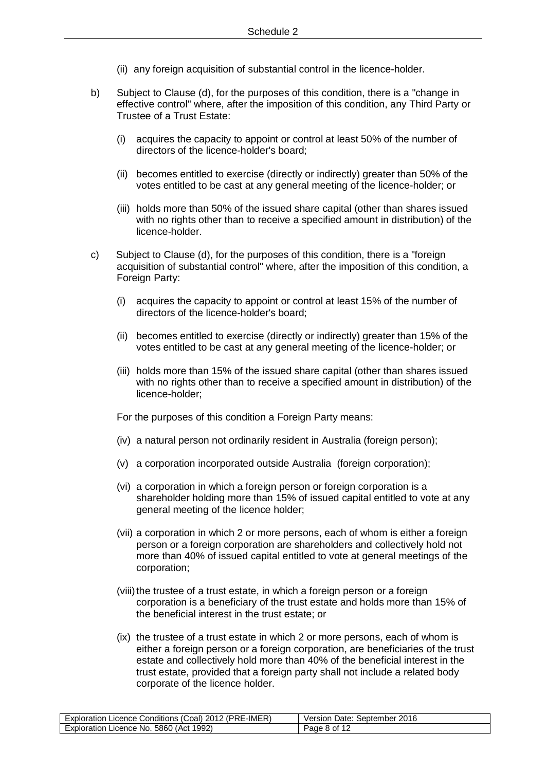- (ii) any foreign acquisition of substantial control in the licence-holder.
- b) Subject to Clause (d), for the purposes of this condition, there is a "change in effective control" where, after the imposition of this condition, any Third Party or Trustee of a Trust Estate:
	- (i) acquires the capacity to appoint or control at least 50% of the number of directors of the licence-holder's board;
	- (ii) becomes entitled to exercise (directly or indirectly) greater than 50% of the votes entitled to be cast at any general meeting of the licence-holder; or
	- (iii) holds more than 50% of the issued share capital (other than shares issued with no rights other than to receive a specified amount in distribution) of the licence-holder.
- c) Subject to Clause (d), for the purposes of this condition, there is a "foreign acquisition of substantial control" where, after the imposition of this condition, a Foreign Party:
	- (i) acquires the capacity to appoint or control at least 15% of the number of directors of the licence-holder's board;
	- (ii) becomes entitled to exercise (directly or indirectly) greater than 15% of the votes entitled to be cast at any general meeting of the licence-holder; or
	- (iii) holds more than 15% of the issued share capital (other than shares issued with no rights other than to receive a specified amount in distribution) of the licence-holder;

For the purposes of this condition a Foreign Party means:

- (iv) a natural person not ordinarily resident in Australia (foreign person);
- (v) a corporation incorporated outside Australia (foreign corporation);
- (vi) a corporation in which a foreign person or foreign corporation is a shareholder holding more than 15% of issued capital entitled to vote at any general meeting of the licence holder;
- (vii) a corporation in which 2 or more persons, each of whom is either a foreign person or a foreign corporation are shareholders and collectively hold not more than 40% of issued capital entitled to vote at general meetings of the corporation;
- (viii) the trustee of a trust estate, in which a foreign person or a foreign corporation is a beneficiary of the trust estate and holds more than 15% of the beneficial interest in the trust estate; or
- (ix) the trustee of a trust estate in which 2 or more persons, each of whom is either a foreign person or a foreign corporation, are beneficiaries of the trust estate and collectively hold more than 40% of the beneficial interest in the trust estate, provided that a foreign party shall not include a related body corporate of the licence holder.

| E-IMER)<br>: (PRE<br>2012<br>.Coal)<br>Exploration<br>. ∟icence Conditions (C` | 2016<br>September<br>Version<br>Date: |
|--------------------------------------------------------------------------------|---------------------------------------|
| (Act 1992)<br>5860<br>Licence No.<br>Exploration                               | ం of <sup>1</sup> ౕ<br>Page           |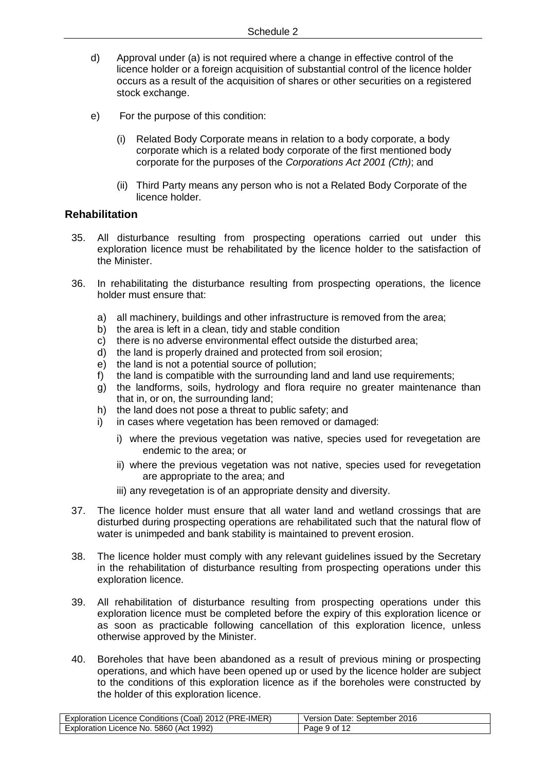- d) Approval under (a) is not required where a change in effective control of the licence holder or a foreign acquisition of substantial control of the licence holder occurs as a result of the acquisition of shares or other securities on a registered stock exchange.
- e) For the purpose of this condition:
	- (i) Related Body Corporate means in relation to a body corporate, a body corporate which is a related body corporate of the first mentioned body corporate for the purposes of the *Corporations Act 2001 (Cth)*; and
	- (ii) Third Party means any person who is not a Related Body Corporate of the licence holder.

### **Rehabilitation**

- 35. All disturbance resulting from prospecting operations carried out under this exploration licence must be rehabilitated by the licence holder to the satisfaction of the Minister.
- 36. In rehabilitating the disturbance resulting from prospecting operations, the licence holder must ensure that:
	- a) all machinery, buildings and other infrastructure is removed from the area;
	- b) the area is left in a clean, tidy and stable condition
	- c) there is no adverse environmental effect outside the disturbed area;
	- d) the land is properly drained and protected from soil erosion;
	- e) the land is not a potential source of pollution;
	- f) the land is compatible with the surrounding land and land use requirements;
	- g) the landforms, soils, hydrology and flora require no greater maintenance than that in, or on, the surrounding land;
	- h) the land does not pose a threat to public safety; and
	- i) in cases where vegetation has been removed or damaged:
		- i) where the previous vegetation was native, species used for revegetation are endemic to the area; or
		- ii) where the previous vegetation was not native, species used for revegetation are appropriate to the area; and
		- iii) any revegetation is of an appropriate density and diversity.
- 37. The licence holder must ensure that all water land and wetland crossings that are disturbed during prospecting operations are rehabilitated such that the natural flow of water is unimpeded and bank stability is maintained to prevent erosion.
- 38. The licence holder must comply with any relevant guidelines issued by the Secretary in the rehabilitation of disturbance resulting from prospecting operations under this exploration licence.
- 39. All rehabilitation of disturbance resulting from prospecting operations under this exploration licence must be completed before the expiry of this exploration licence or as soon as practicable following cancellation of this exploration licence, unless otherwise approved by the Minister.
- 40. Boreholes that have been abandoned as a result of previous mining or prospecting operations, and which have been opened up or used by the licence holder are subject to the conditions of this exploration licence as if the boreholes were constructed by the holder of this exploration licence.

| n Licence Conditions (Coal) 2012 (PRE-IMER) | Date: September 2016 |
|---------------------------------------------|----------------------|
| Exploration                                 | Version              |
| . 5860 (Act 1992)                           | 9 of 12              |
| Exploration Licence No.                     | Page \               |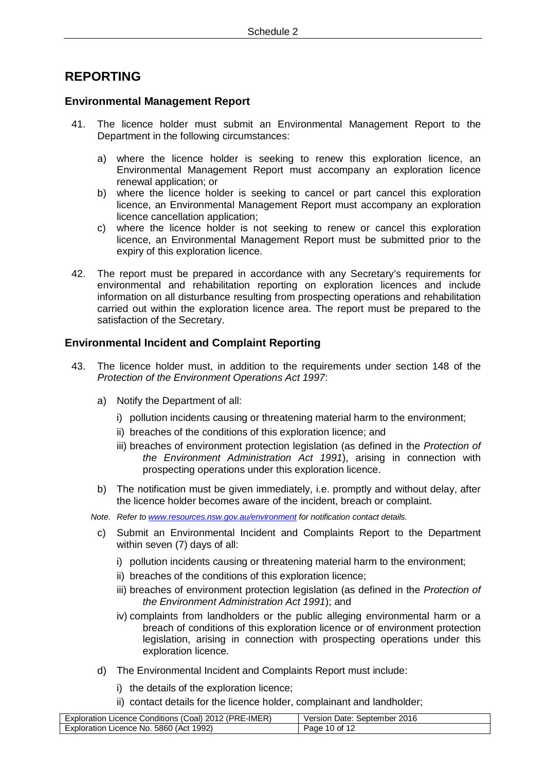# **REPORTING**

### **Environmental Management Report**

- 41. The licence holder must submit an Environmental Management Report to the Department in the following circumstances:
	- a) where the licence holder is seeking to renew this exploration licence, an Environmental Management Report must accompany an exploration licence renewal application; or
	- b) where the licence holder is seeking to cancel or part cancel this exploration licence, an Environmental Management Report must accompany an exploration licence cancellation application;
	- c) where the licence holder is not seeking to renew or cancel this exploration licence, an Environmental Management Report must be submitted prior to the expiry of this exploration licence.
- 42. The report must be prepared in accordance with any Secretary's requirements for environmental and rehabilitation reporting on exploration licences and include information on all disturbance resulting from prospecting operations and rehabilitation carried out within the exploration licence area. The report must be prepared to the satisfaction of the Secretary.

## **Environmental Incident and Complaint Reporting**

- 43. The licence holder must, in addition to the requirements under section 148 of the *Protection of the Environment Operations Act 1997*:
	- a) Notify the Department of all:
		- i) pollution incidents causing or threatening material harm to the environment;
		- ii) breaches of the conditions of this exploration licence; and
		- iii) breaches of environment protection legislation (as defined in the *Protection of the Environment Administration Act 1991*), arising in connection with prospecting operations under this exploration licence.
	- b) The notification must be given immediately, i.e. promptly and without delay, after the licence holder becomes aware of the incident, breach or complaint.
	- *Note. Refer to [www.resources.nsw.gov.au/environment](http://www.resources.nsw.gov.au/environment) for notification contact details.*
		- c) Submit an Environmental Incident and Complaints Report to the Department within seven (7) days of all:
			- i) pollution incidents causing or threatening material harm to the environment;
			- ii) breaches of the conditions of this exploration licence;
			- iii) breaches of environment protection legislation (as defined in the *Protection of the Environment Administration Act 1991*); and
			- iv) complaints from landholders or the public alleging environmental harm or a breach of conditions of this exploration licence or of environment protection legislation, arising in connection with prospecting operations under this exploration licence.
		- d) The Environmental Incident and Complaints Report must include:
			- i) the details of the exploration licence;
			- ii) contact details for the licence holder, complainant and landholder;

| Exploration Licence Conditions (Coal) 2012 (PRE-IMER) | : September 2016<br>Version<br>Date: |
|-------------------------------------------------------|--------------------------------------|
| 5860 (Act 1992)<br><b>Exploration</b><br>Licence No.  | Page 10 of<br>- 10                   |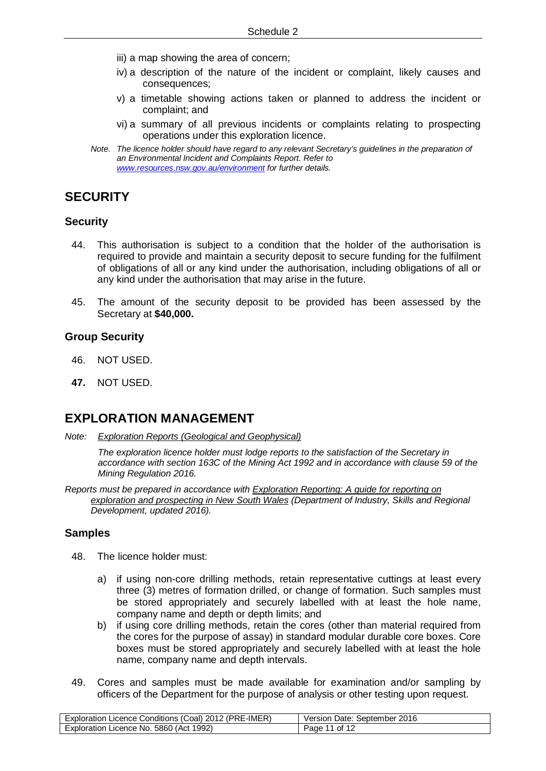- iii) a map showing the area of concern;
- iv) a description of the nature of the incident or complaint, likely causes and consequences;
- v) a timetable showing actions taken or planned to address the incident or complaint; and
- vi) a summary of all previous incidents or complaints relating to prospecting operations under this exploration licence.
- *Note. The licence holder should have regard to any relevant Secretary's guidelines in the preparation of an Environmental Incident and Complaints Report. Refer to [www.resources.nsw.gov.au/environment](http://www.resources.nsw.gov.au/environment) for further details.*

## **SECURITY**

#### **Security**

- 44. This authorisation is subject to a condition that the holder of the authorisation is required to provide and maintain a security deposit to secure funding for the fulfilment of obligations of all or any kind under the authorisation, including obligations of all or any kind under the authorisation that may arise in the future.
- 45. The amount of the security deposit to be provided has been assessed by the Secretary at **\$40,000.**

#### **Group Security**

- 46. NOT USED.
- **47.** NOT USED.

## **EXPLORATION MANAGEMENT**

*Note: Exploration Reports (Geological and Geophysical)*

*The exploration licence holder must lodge reports to the satisfaction of the Secretary in accordance with section 163C of the Mining Act 1992 and in accordance with clause 59 of the Mining Regulation 2016.*

*Reports must be prepared in accordance with Exploration Reporting: A guide for reporting on exploration and prospecting in New South Wales (Department of Industry, Skills and Regional Development, updated 2016).*

#### **Samples**

- <span id="page-14-0"></span>48. The licence holder must:
	- a) if using non-core drilling methods, retain representative cuttings at least every three (3) metres of formation drilled, or change of formation. Such samples must be stored appropriately and securely labelled with at least the hole name, company name and depth or depth limits; and
	- b) if using core drilling methods, retain the cores (other than material required from the cores for the purpose of assay) in standard modular durable core boxes. Core boxes must be stored appropriately and securely labelled with at least the hole name, company name and depth intervals.
- 49. Cores and samples must be made available for examination and/or sampling by officers of the Department for the purpose of analysis or other testing upon request.

| (PRE-IMER)<br>Licence Conditions (Coal) 2012<br>Exploration | 2016<br>September<br>Version<br>Date: |
|-------------------------------------------------------------|---------------------------------------|
| 1992)<br>5860<br>(Act<br>Exploration<br>Licence No.         | of 12<br>Page                         |